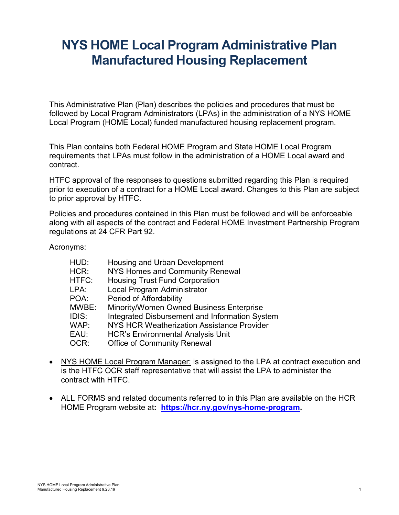# **NYS HOME Local Program Administrative Plan Manufactured Housing Replacement**

This Administrative Plan (Plan) describes the policies and procedures that must be followed by Local Program Administrators (LPAs) in the administration of a NYS HOME Local Program (HOME Local) funded manufactured housing replacement program.

This Plan contains both Federal HOME Program and State HOME Local Program requirements that LPAs must follow in the administration of a HOME Local award and contract.

HTFC approval of the responses to questions submitted regarding this Plan is required prior to execution of a contract for a HOME Local award. Changes to this Plan are subject to prior approval by HTFC.

Policies and procedures contained in this Plan must be followed and will be enforceable along with all aspects of the contract and Federal HOME Investment Partnership Program regulations at 24 CFR Part 92.

Acronyms:

| HUD:  | Housing and Urban Development                  |
|-------|------------------------------------------------|
| HCR:  | <b>NYS Homes and Community Renewal</b>         |
| HTFC: | <b>Housing Trust Fund Corporation</b>          |
| LPA:  | Local Program Administrator                    |
| POA:  | Period of Affordability                        |
| MWBE: | Minority/Women Owned Business Enterprise       |
| IDIS: | Integrated Disbursement and Information System |
| WAP:  | NYS HCR Weatherization Assistance Provider     |
| EAU:  | <b>HCR's Environmental Analysis Unit</b>       |
| OCR:  | <b>Office of Community Renewal</b>             |

- NYS HOME Local Program Manager: is assigned to the LPA at contract execution and is the HTFC OCR staff representative that will assist the LPA to administer the contract with HTFC.
- ALL FORMS and related documents referred to in this Plan are available on the HCR HOME Program website at**: [https://hcr.ny.gov/nys-home-program.](https://hcr.ny.gov/nys-home-program)**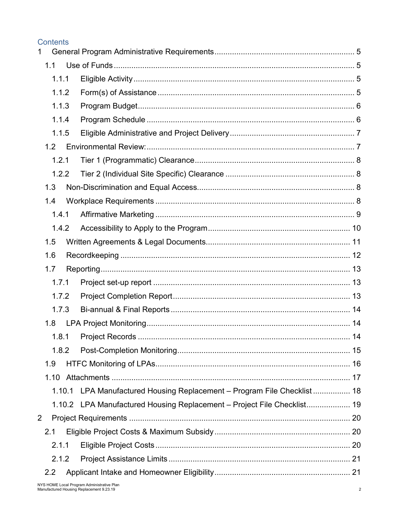#### **Contents**  $1 \quad$  $1.1$  $111$  $1.1.2$  $1.1.3$  $1.1.4$  $1.1.5$ 121 122  $1.3$  $1.4$  $1.4.1$ 142  $1.5$  $1.6$  $1.7$  $1.7.1$ 172  $173$  $1.8$  $1.8.1$  $1.8.2$  $19$ 1.10.1 LPA Manufactured Housing Replacement – Program File Checklist................. 18 1.10.2 LPA Manufactured Housing Replacement – Project File Checklist.................... 19  $\overline{2}$  $2.1$  $2.1.1$  $212$  $2.2$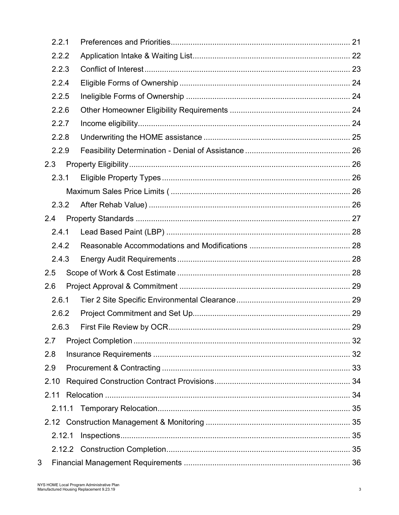| 2.2.1  |    |
|--------|----|
| 2.2.2  |    |
| 2.2.3  |    |
| 2.2.4  |    |
| 2.2.5  |    |
| 2.2.6  |    |
| 2.2.7  |    |
| 2.2.8  |    |
| 2.2.9  |    |
| 2.3    |    |
| 2.3.1  |    |
|        |    |
| 2.3.2  |    |
| 2.4    |    |
| 2.4.1  |    |
| 2.4.2  |    |
| 2.4.3  |    |
| 2.5    |    |
| 2.6    |    |
| 2.6.1  |    |
| 2.6.2  |    |
| 2.6.3  | 29 |
| 2.7    |    |
| 2.8    |    |
| 2.9    |    |
| 2.10   |    |
| 2.11   |    |
|        |    |
|        |    |
| 2.12.1 |    |
|        |    |
| 3      |    |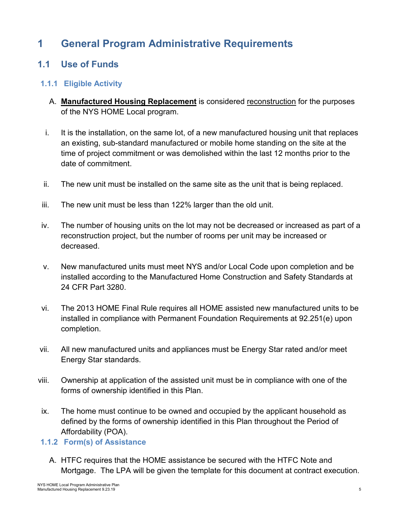# <span id="page-4-0"></span>**1 General Program Administrative Requirements**

# <span id="page-4-1"></span>**1.1 Use of Funds**

### <span id="page-4-2"></span>**1.1.1 Eligible Activity**

- A. **Manufactured Housing Replacement** is considered reconstruction for the purposes of the NYS HOME Local program.
- i. It is the installation, on the same lot, of a new manufactured housing unit that replaces an existing, sub-standard manufactured or mobile home standing on the site at the time of project commitment or was demolished within the last 12 months prior to the date of commitment.
- ii. The new unit must be installed on the same site as the unit that is being replaced.
- iii. The new unit must be less than 122% larger than the old unit.
- iv. The number of housing units on the lot may not be decreased or increased as part of a reconstruction project, but the number of rooms per unit may be increased or decreased.
- v. New manufactured units must meet NYS and/or Local Code upon completion and be installed according to the Manufactured Home Construction and Safety Standards at 24 CFR Part 3280.
- vi. The 2013 HOME Final Rule requires all HOME assisted new manufactured units to be installed in compliance with Permanent Foundation Requirements at 92.251(e) upon completion.
- vii. All new manufactured units and appliances must be Energy Star rated and/or meet Energy Star standards.
- viii. Ownership at application of the assisted unit must be in compliance with one of the forms of ownership identified in this Plan.
- ix. The home must continue to be owned and occupied by the applicant household as defined by the forms of ownership identified in this Plan throughout the Period of Affordability (POA).

### <span id="page-4-3"></span>**1.1.2 Form(s) of Assistance**

A. HTFC requires that the HOME assistance be secured with the HTFC Note and Mortgage. The LPA will be given the template for this document at contract execution.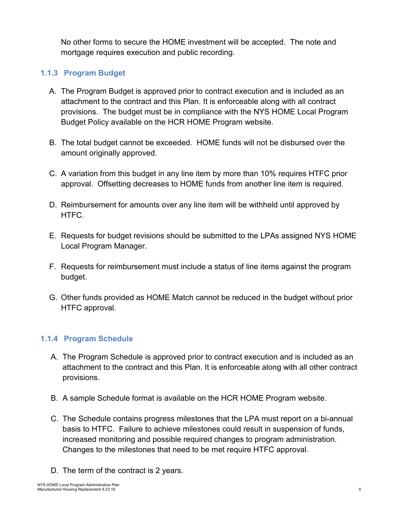No other forms to secure the HOME investment will be accepted. The note and mortgage requires execution and public recording.

#### <span id="page-5-0"></span>**1.1.3 Program Budget**

- A. The Program Budget is approved prior to contract execution and is included as an attachment to the contract and this Plan. It is enforceable along with all contract provisions. The budget must be in compliance with the NYS HOME Local Program Budget Policy available on the HCR HOME Program website.
- B. The total budget cannot be exceeded. HOME funds will not be disbursed over the amount originally approved.
- C. A variation from this budget in any line item by more than 10% requires HTFC prior approval. Offsetting decreases to HOME funds from another line item is required.
- D. Reimbursement for amounts over any line item will be withheld until approved by HTFC.
- E. Requests for budget revisions should be submitted to the LPAs assigned NYS HOME Local Program Manager.
- F. Requests for reimbursement must include a status of line items against the program budget.
- G. Other funds provided as HOME Match cannot be reduced in the budget without prior HTFC approval.

#### <span id="page-5-1"></span>**1.1.4 Program Schedule**

- A. The Program Schedule is approved prior to contract execution and is included as an attachment to the contract and this Plan. It is enforceable along with all other contract provisions.
- B. A sample Schedule format is available on the HCR HOME Program website.
- C. The Schedule contains progress milestones that the LPA must report on a bi-annual basis to HTFC. Failure to achieve milestones could result in suspension of funds, increased monitoring and possible required changes to program administration. Changes to the milestones that need to be met require HTFC approval.
- D. The term of the contract is 2 years.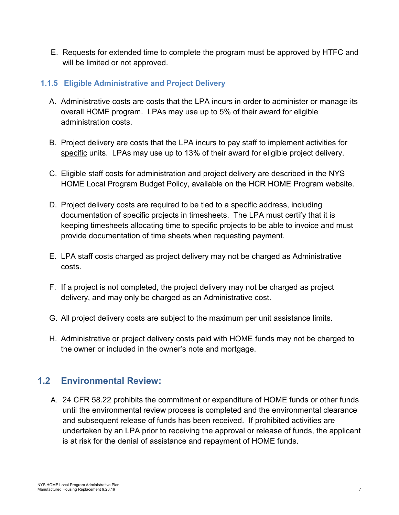E. Requests for extended time to complete the program must be approved by HTFC and will be limited or not approved.

#### <span id="page-6-0"></span>**1.1.5 Eligible Administrative and Project Delivery**

- A. Administrative costs are costs that the LPA incurs in order to administer or manage its overall HOME program. LPAs may use up to 5% of their award for eligible administration costs.
- B. Project delivery are costs that the LPA incurs to pay staff to implement activities for specific units. LPAs may use up to 13% of their award for eligible project delivery.
- C. Eligible staff costs for administration and project delivery are described in the NYS HOME Local Program Budget Policy, available on the HCR HOME Program website.
- D. Project delivery costs are required to be tied to a specific address, including documentation of specific projects in timesheets. The LPA must certify that it is keeping timesheets allocating time to specific projects to be able to invoice and must provide documentation of time sheets when requesting payment.
- E. LPA staff costs charged as project delivery may not be charged as Administrative costs.
- F. If a project is not completed, the project delivery may not be charged as project delivery, and may only be charged as an Administrative cost.
- G. All project delivery costs are subject to the maximum per unit assistance limits.
- H. Administrative or project delivery costs paid with HOME funds may not be charged to the owner or included in the owner's note and mortgage.

# <span id="page-6-1"></span>**1.2 Environmental Review:**

A. 24 CFR 58.22 prohibits the commitment or expenditure of HOME funds or other funds until the environmental review process is completed and the environmental clearance and subsequent release of funds has been received. If prohibited activities are undertaken by an LPA prior to receiving the approval or release of funds, the applicant is at risk for the denial of assistance and repayment of HOME funds.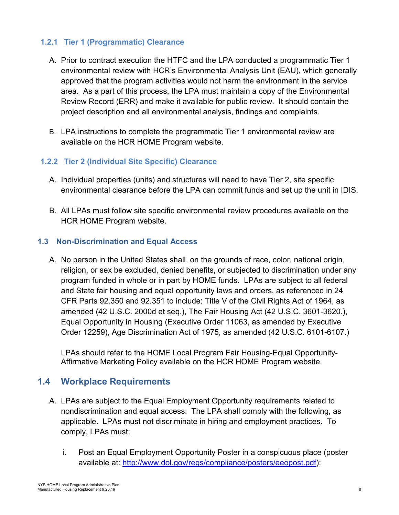#### <span id="page-7-0"></span>**1.2.1 Tier 1 (Programmatic) Clearance**

- A. Prior to contract execution the HTFC and the LPA conducted a programmatic Tier 1 environmental review with HCR's Environmental Analysis Unit (EAU), which generally approved that the program activities would not harm the environment in the service area. As a part of this process, the LPA must maintain a copy of the Environmental Review Record (ERR) and make it available for public review. It should contain the project description and all environmental analysis, findings and complaints.
- B. LPA instructions to complete the programmatic Tier 1 environmental review are available on the HCR HOME Program website.

#### <span id="page-7-1"></span>**1.2.2 Tier 2 (Individual Site Specific) Clearance**

- A. Individual properties (units) and structures will need to have Tier 2, site specific environmental clearance before the LPA can commit funds and set up the unit in IDIS.
- B. All LPAs must follow site specific environmental review procedures available on the HCR HOME Program website.

#### <span id="page-7-2"></span>**1.3 Non-Discrimination and Equal Access**

A. No person in the United States shall, on the grounds of race, color, national origin, religion, or sex be excluded, denied benefits, or subjected to discrimination under any program funded in whole or in part by HOME funds. LPAs are subject to all federal and State fair housing and equal opportunity laws and orders, as referenced in 24 CFR Parts 92.350 and 92.351 to include: Title V of the Civil Rights Act of 1964, as amended (42 U.S.C. 2000d et seq.), The Fair Housing Act (42 U.S.C. 3601-3620.), Equal Opportunity in Housing (Executive Order 11063, as amended by Executive Order 12259), Age Discrimination Act of 1975, as amended (42 U.S.C. 6101-6107.)

LPAs should refer to the HOME Local Program Fair Housing-Equal Opportunity-Affirmative Marketing Policy available on the HCR HOME Program website.

### <span id="page-7-3"></span>**1.4 Workplace Requirements**

- A. LPAs are subject to the Equal Employment Opportunity requirements related to nondiscrimination and equal access: The LPA shall comply with the following, as applicable. LPAs must not discriminate in hiring and employment practices. To comply, LPAs must:
	- i. Post an Equal Employment Opportunity Poster in a conspicuous place (poster available at: [http://www.dol.gov/regs/compliance/posters/eeopost.pdf\)](http://www.dol.gov/regs/compliance/posters/eeopost.pdf);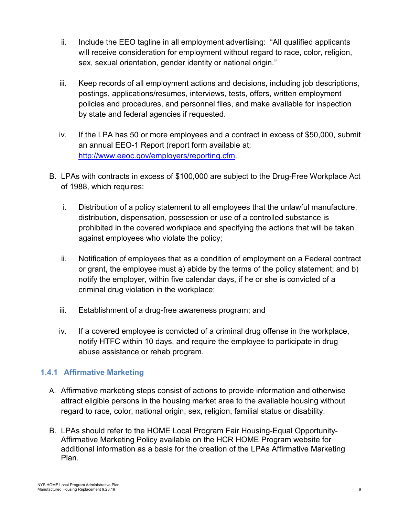- ii. Include the EEO tagline in all employment advertising: "All qualified applicants will receive consideration for employment without regard to race, color, religion, sex, sexual orientation, gender identity or national origin."
- iii. Keep records of all employment actions and decisions, including job descriptions, postings, applications/resumes, interviews, tests, offers, written employment policies and procedures, and personnel files, and make available for inspection by state and federal agencies if requested.
- iv. If the LPA has 50 or more employees and a contract in excess of \$50,000, submit an annual EEO-1 Report (report form available at: [http://www.eeoc.gov/employers/reporting.cfm.](http://www.eeoc.gov/employers/reporting.cfm)
- B. LPAs with contracts in excess of \$100,000 are subject to the Drug-Free Workplace Act of 1988, which requires:
	- i. Distribution of a policy statement to all employees that the unlawful manufacture, distribution, dispensation, possession or use of a controlled substance is prohibited in the covered workplace and specifying the actions that will be taken against employees who violate the policy;
	- ii. Notification of employees that as a condition of employment on a Federal contract or grant, the employee must a) abide by the terms of the policy statement; and b) notify the employer, within five calendar days, if he or she is convicted of a criminal drug violation in the workplace;
	- iii. Establishment of a drug-free awareness program; and
	- iv. If a covered employee is convicted of a criminal drug offense in the workplace, notify HTFC within 10 days, and require the employee to participate in drug abuse assistance or rehab program.

### <span id="page-8-0"></span>**1.4.1 Affirmative Marketing**

- A. Affirmative marketing steps consist of actions to provide information and otherwise attract eligible persons in the housing market area to the available housing without regard to race, color, national origin, sex, religion, familial status or disability.
- B. LPAs should refer to the HOME Local Program Fair Housing-Equal Opportunity-Affirmative Marketing Policy available on the HCR HOME Program website for additional information as a basis for the creation of the LPAs Affirmative Marketing Plan.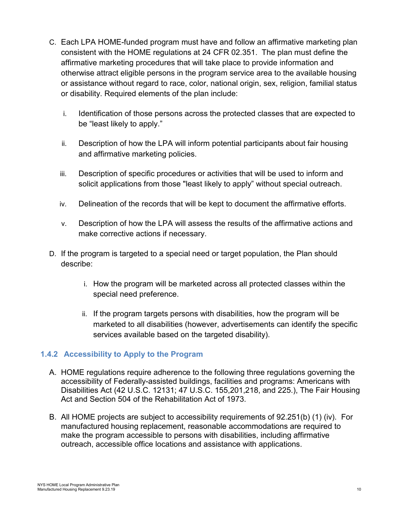- C. Each LPA HOME-funded program must have and follow an affirmative marketing plan consistent with the HOME regulations at 24 CFR 02.351. The plan must define the affirmative marketing procedures that will take place to provide information and otherwise attract eligible persons in the program service area to the available housing or assistance without regard to race, color, national origin, sex, religion, familial status or disability. Required elements of the plan include:
	- i. Identification of those persons across the protected classes that are expected to be "least likely to apply."
	- ii. Description of how the LPA will inform potential participants about fair housing and affirmative marketing policies.
	- iii. Description of specific procedures or activities that will be used to inform and solicit applications from those "least likely to apply" without special outreach.
	- iv. Delineation of the records that will be kept to document the affirmative efforts.
	- v. Description of how the LPA will assess the results of the affirmative actions and make corrective actions if necessary.
- D. If the program is targeted to a special need or target population, the Plan should describe:
	- i. How the program will be marketed across all protected classes within the special need preference.
	- ii. If the program targets persons with disabilities, how the program will be marketed to all disabilities (however, advertisements can identify the specific services available based on the targeted disability).

#### <span id="page-9-0"></span>**1.4.2 Accessibility to Apply to the Program**

- A. HOME regulations require adherence to the following three regulations governing the accessibility of Federally-assisted buildings, facilities and programs: Americans with Disabilities Act (42 U.S.C. 12131; 47 U.S.C. 155,201,218, and 225.), The Fair Housing Act and Section 504 of the Rehabilitation Act of 1973.
- B. All HOME projects are subject to accessibility requirements of 92.251(b) (1) (iv). For manufactured housing replacement, reasonable accommodations are required to make the program accessible to persons with disabilities, including affirmative outreach, accessible office locations and assistance with applications.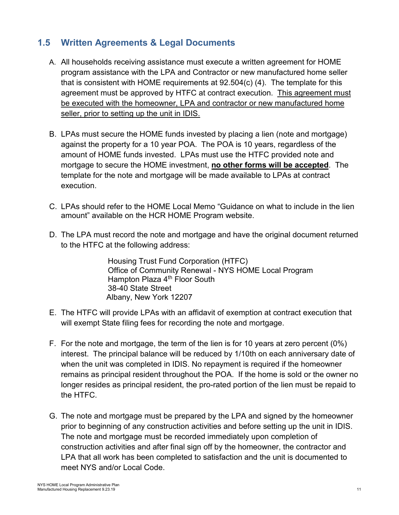# <span id="page-10-0"></span>**1.5 Written Agreements & Legal Documents**

- A. All households receiving assistance must execute a written agreement for HOME program assistance with the LPA and Contractor or new manufactured home seller that is consistent with HOME requirements at 92.504(c) (4). The template for this agreement must be approved by HTFC at contract execution. This agreement must be executed with the homeowner, LPA and contractor or new manufactured home seller, prior to setting up the unit in IDIS.
- B. LPAs must secure the HOME funds invested by placing a lien (note and mortgage) against the property for a 10 year POA. The POA is 10 years, regardless of the amount of HOME funds invested. LPAs must use the HTFC provided note and mortgage to secure the HOME investment, **no other forms will be accepted**. The template for the note and mortgage will be made available to LPAs at contract execution.
- C. LPAs should refer to the HOME Local Memo "Guidance on what to include in the lien amount" available on the HCR HOME Program website.
- D. The LPA must record the note and mortgage and have the original document returned to the HTFC at the following address:

Housing Trust Fund Corporation (HTFC) Office of Community Renewal - NYS HOME Local Program Hampton Plaza 4<sup>th</sup> Floor South 38-40 State Street Albany, New York 12207

- E. The HTFC will provide LPAs with an affidavit of exemption at contract execution that will exempt State filing fees for recording the note and mortgage.
- F. For the note and mortgage, the term of the lien is for 10 years at zero percent (0%) interest. The principal balance will be reduced by 1/10th on each anniversary date of when the unit was completed in IDIS. No repayment is required if the homeowner remains as principal resident throughout the POA. If the home is sold or the owner no longer resides as principal resident, the pro-rated portion of the lien must be repaid to the HTFC.
- G. The note and mortgage must be prepared by the LPA and signed by the homeowner prior to beginning of any construction activities and before setting up the unit in IDIS. The note and mortgage must be recorded immediately upon completion of construction activities and after final sign off by the homeowner, the contractor and LPA that all work has been completed to satisfaction and the unit is documented to meet NYS and/or Local Code.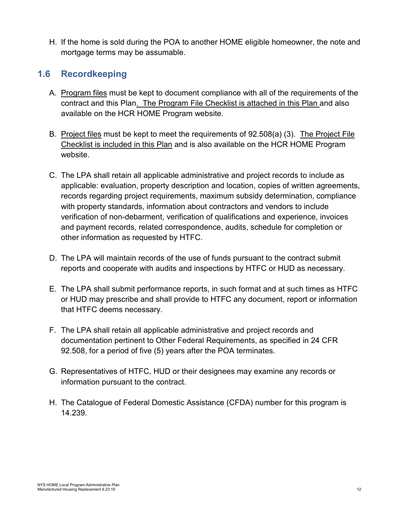H. If the home is sold during the POA to another HOME eligible homeowner, the note and mortgage terms may be assumable.

# <span id="page-11-0"></span>**1.6 Recordkeeping**

- A. Program files must be kept to document compliance with all of the requirements of the contract and this Plan. The Program File Checklist is attached in this Plan and also available on the HCR HOME Program website.
- B. Project files must be kept to meet the requirements of 92.508(a) (3). The Project File Checklist is included in this Plan and is also available on the HCR HOME Program website.
- C. The LPA shall retain all applicable administrative and project records to include as applicable: evaluation, property description and location, copies of written agreements, records regarding project requirements, maximum subsidy determination, compliance with property standards, information about contractors and vendors to include verification of non-debarment, verification of qualifications and experience, invoices and payment records, related correspondence, audits, schedule for completion or other information as requested by HTFC.
- D. The LPA will maintain records of the use of funds pursuant to the contract submit reports and cooperate with audits and inspections by HTFC or HUD as necessary.
- E. The LPA shall submit performance reports, in such format and at such times as HTFC or HUD may prescribe and shall provide to HTFC any document, report or information that HTFC deems necessary.
- F. The LPA shall retain all applicable administrative and project records and documentation pertinent to Other Federal Requirements, as specified in 24 CFR 92.508, for a period of five (5) years after the POA terminates.
- G. Representatives of HTFC, HUD or their designees may examine any records or information pursuant to the contract.
- H. The Catalogue of Federal Domestic Assistance (CFDA) number for this program is 14.239.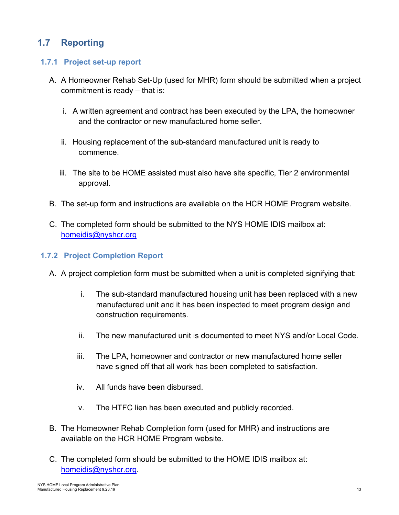# <span id="page-12-0"></span>**1.7 Reporting**

#### <span id="page-12-1"></span>**1.7.1 Project set-up report**

- A. A Homeowner Rehab Set-Up (used for MHR) form should be submitted when a project commitment is ready – that is:
	- i. A written agreement and contract has been executed by the LPA, the homeowner and the contractor or new manufactured home seller.
	- ii. Housing replacement of the sub-standard manufactured unit is ready to commence.
	- iii. The site to be HOME assisted must also have site specific, Tier 2 environmental approval.
- B. The set-up form and instructions are available on the HCR HOME Program website.
- C. The completed form should be submitted to the NYS HOME IDIS mailbox at: [homeidis@nyshcr.org](mailto:homeidis@nyshcr.org)

#### <span id="page-12-2"></span>**1.7.2 Project Completion Report**

- A. A project completion form must be submitted when a unit is completed signifying that:
	- i. The sub-standard manufactured housing unit has been replaced with a new manufactured unit and it has been inspected to meet program design and construction requirements.
	- ii. The new manufactured unit is documented to meet NYS and/or Local Code.
	- iii. The LPA, homeowner and contractor or new manufactured home seller have signed off that all work has been completed to satisfaction.
	- iv. All funds have been disbursed.
	- v. The HTFC lien has been executed and publicly recorded.
- B. The Homeowner Rehab Completion form (used for MHR) and instructions are available on the HCR HOME Program website.
- C. The completed form should be submitted to the HOME IDIS mailbox at: [homeidis@nyshcr.org.](mailto:homeidis@nyshcr.org)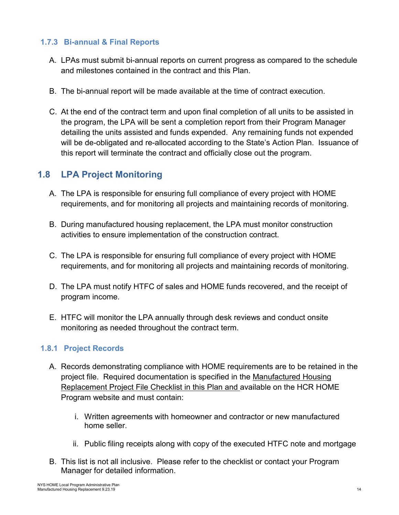#### <span id="page-13-0"></span>**1.7.3 Bi-annual & Final Reports**

- A. LPAs must submit bi-annual reports on current progress as compared to the schedule and milestones contained in the contract and this Plan.
- B. The bi-annual report will be made available at the time of contract execution.
- C. At the end of the contract term and upon final completion of all units to be assisted in the program, the LPA will be sent a completion report from their Program Manager detailing the units assisted and funds expended. Any remaining funds not expended will be de-obligated and re-allocated according to the State's Action Plan. Issuance of this report will terminate the contract and officially close out the program.

# <span id="page-13-1"></span>**1.8 LPA Project Monitoring**

- A. The LPA is responsible for ensuring full compliance of every project with HOME requirements, and for monitoring all projects and maintaining records of monitoring.
- B. During manufactured housing replacement, the LPA must monitor construction activities to ensure implementation of the construction contract.
- C. The LPA is responsible for ensuring full compliance of every project with HOME requirements, and for monitoring all projects and maintaining records of monitoring.
- D. The LPA must notify HTFC of sales and HOME funds recovered, and the receipt of program income.
- E. HTFC will monitor the LPA annually through desk reviews and conduct onsite monitoring as needed throughout the contract term.

#### <span id="page-13-2"></span>**1.8.1 Project Records**

- A. Records demonstrating compliance with HOME requirements are to be retained in the project file. Required documentation is specified in the Manufactured Housing Replacement Project File Checklist in this Plan and available on the HCR HOME Program website and must contain:
	- i. Written agreements with homeowner and contractor or new manufactured home seller.
	- ii. Public filing receipts along with copy of the executed HTFC note and mortgage
- B. This list is not all inclusive. Please refer to the checklist or contact your Program Manager for detailed information.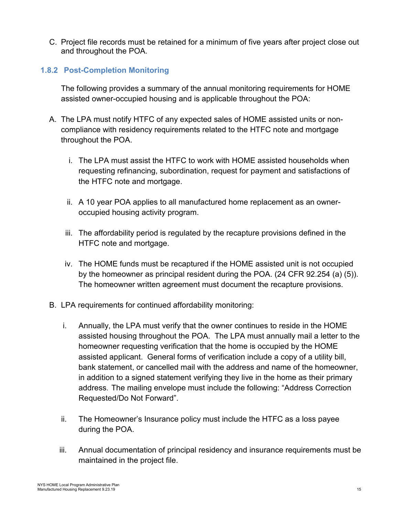C. Project file records must be retained for a minimum of five years after project close out and throughout the POA.

#### <span id="page-14-0"></span>**1.8.2 Post-Completion Monitoring**

The following provides a summary of the annual monitoring requirements for HOME assisted owner-occupied housing and is applicable throughout the POA:

- A. The LPA must notify HTFC of any expected sales of HOME assisted units or noncompliance with residency requirements related to the HTFC note and mortgage throughout the POA.
	- i. The LPA must assist the HTFC to work with HOME assisted households when requesting refinancing, subordination, request for payment and satisfactions of the HTFC note and mortgage.
	- ii. A 10 year POA applies to all manufactured home replacement as an owneroccupied housing activity program.
	- iii. The affordability period is regulated by the recapture provisions defined in the HTFC note and mortgage.
	- iv. The HOME funds must be recaptured if the HOME assisted unit is not occupied by the homeowner as principal resident during the POA. (24 CFR 92.254 (a) (5)). The homeowner written agreement must document the recapture provisions.
- B. LPA requirements for continued affordability monitoring:
	- i. Annually, the LPA must verify that the owner continues to reside in the HOME assisted housing throughout the POA. The LPA must annually mail a letter to the homeowner requesting verification that the home is occupied by the HOME assisted applicant. General forms of verification include a copy of a utility bill, bank statement, or cancelled mail with the address and name of the homeowner, in addition to a signed statement verifying they live in the home as their primary address. The mailing envelope must include the following: "Address Correction Requested/Do Not Forward".
	- ii. The Homeowner's Insurance policy must include the HTFC as a loss payee during the POA.
	- iii. Annual documentation of principal residency and insurance requirements must be maintained in the project file.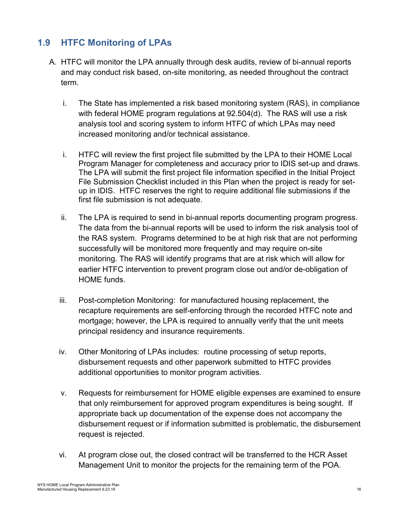# <span id="page-15-0"></span>**1.9 HTFC Monitoring of LPAs**

- A. HTFC will monitor the LPA annually through desk audits, review of bi-annual reports and may conduct risk based, on-site monitoring, as needed throughout the contract term.
	- i. The State has implemented a risk based monitoring system (RAS), in compliance with federal HOME program regulations at 92.504(d). The RAS will use a risk analysis tool and scoring system to inform HTFC of which LPAs may need increased monitoring and/or technical assistance.
	- i. HTFC will review the first project file submitted by the LPA to their HOME Local Program Manager for completeness and accuracy prior to IDIS set-up and draws. The LPA will submit the first project file information specified in the Initial Project File Submission Checklist included in this Plan when the project is ready for setup in IDIS. HTFC reserves the right to require additional file submissions if the first file submission is not adequate.
	- ii. The LPA is required to send in bi-annual reports documenting program progress. The data from the bi-annual reports will be used to inform the risk analysis tool of the RAS system. Programs determined to be at high risk that are not performing successfully will be monitored more frequently and may require on-site monitoring. The RAS will identify programs that are at risk which will allow for earlier HTFC intervention to prevent program close out and/or de-obligation of HOME funds.
	- iii. Post-completion Monitoring: for manufactured housing replacement, the recapture requirements are self-enforcing through the recorded HTFC note and mortgage; however, the LPA is required to annually verify that the unit meets principal residency and insurance requirements.
	- iv. Other Monitoring of LPAs includes: routine processing of setup reports, disbursement requests and other paperwork submitted to HTFC provides additional opportunities to monitor program activities.
	- v. Requests for reimbursement for HOME eligible expenses are examined to ensure that only reimbursement for approved program expenditures is being sought. If appropriate back up documentation of the expense does not accompany the disbursement request or if information submitted is problematic, the disbursement request is rejected.
	- vi. At program close out, the closed contract will be transferred to the HCR Asset Management Unit to monitor the projects for the remaining term of the POA.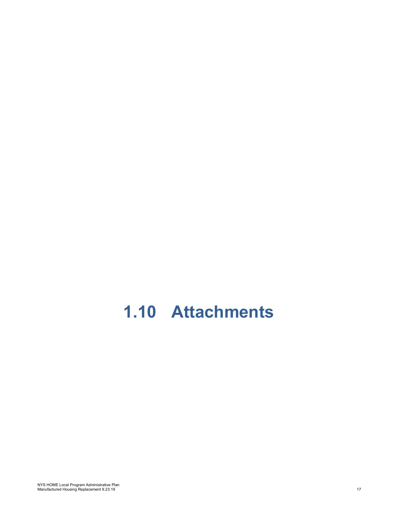# <span id="page-16-0"></span>**1.10 Attachments**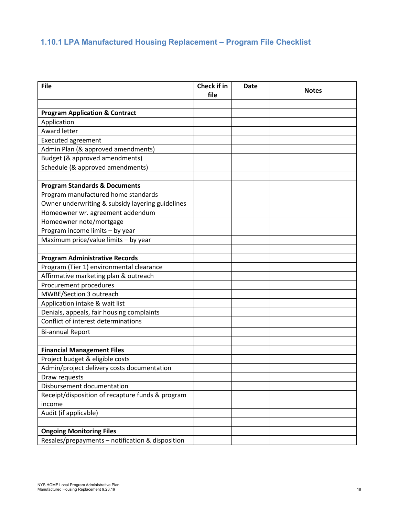# <span id="page-17-0"></span>**1.10.1 LPA Manufactured Housing Replacement – Program File Checklist**

| <b>File</b>                                      | <b>Check if in</b><br>file | <b>Date</b> | <b>Notes</b> |
|--------------------------------------------------|----------------------------|-------------|--------------|
|                                                  |                            |             |              |
| <b>Program Application &amp; Contract</b>        |                            |             |              |
| Application                                      |                            |             |              |
| Award letter                                     |                            |             |              |
| <b>Executed agreement</b>                        |                            |             |              |
| Admin Plan (& approved amendments)               |                            |             |              |
| Budget (& approved amendments)                   |                            |             |              |
| Schedule (& approved amendments)                 |                            |             |              |
| <b>Program Standards &amp; Documents</b>         |                            |             |              |
| Program manufactured home standards              |                            |             |              |
| Owner underwriting & subsidy layering guidelines |                            |             |              |
| Homeowner wr. agreement addendum                 |                            |             |              |
| Homeowner note/mortgage                          |                            |             |              |
| Program income limits - by year                  |                            |             |              |
| Maximum price/value limits - by year             |                            |             |              |
|                                                  |                            |             |              |
| <b>Program Administrative Records</b>            |                            |             |              |
| Program (Tier 1) environmental clearance         |                            |             |              |
| Affirmative marketing plan & outreach            |                            |             |              |
| Procurement procedures                           |                            |             |              |
| MWBE/Section 3 outreach                          |                            |             |              |
| Application intake & wait list                   |                            |             |              |
| Denials, appeals, fair housing complaints        |                            |             |              |
| Conflict of interest determinations              |                            |             |              |
| <b>Bi-annual Report</b>                          |                            |             |              |
|                                                  |                            |             |              |
| <b>Financial Management Files</b>                |                            |             |              |
| Project budget & eligible costs                  |                            |             |              |
| Admin/project delivery costs documentation       |                            |             |              |
| Draw requests                                    |                            |             |              |
| Disbursement documentation                       |                            |             |              |
| Receipt/disposition of recapture funds & program |                            |             |              |
| income                                           |                            |             |              |
| Audit (if applicable)                            |                            |             |              |
|                                                  |                            |             |              |
| <b>Ongoing Monitoring Files</b>                  |                            |             |              |
| Resales/prepayments - notification & disposition |                            |             |              |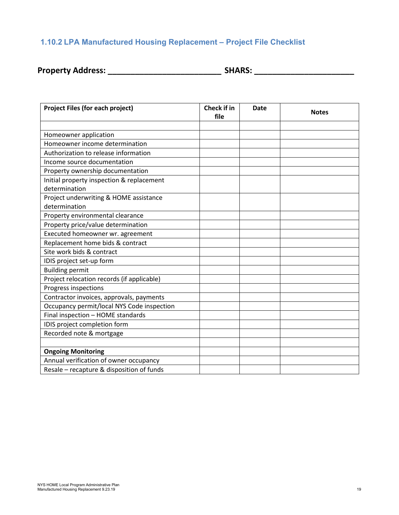# <span id="page-18-0"></span>**1.10.2 LPA Manufactured Housing Replacement – Project File Checklist**

| <b>Property Address:</b> | <b>SHARS:</b> |
|--------------------------|---------------|
|--------------------------|---------------|

| Project Files (for each project)           | <b>Check if in</b><br>file | <b>Date</b> | <b>Notes</b> |
|--------------------------------------------|----------------------------|-------------|--------------|
|                                            |                            |             |              |
| Homeowner application                      |                            |             |              |
| Homeowner income determination             |                            |             |              |
| Authorization to release information       |                            |             |              |
| Income source documentation                |                            |             |              |
| Property ownership documentation           |                            |             |              |
| Initial property inspection & replacement  |                            |             |              |
| determination                              |                            |             |              |
| Project underwriting & HOME assistance     |                            |             |              |
| determination                              |                            |             |              |
| Property environmental clearance           |                            |             |              |
| Property price/value determination         |                            |             |              |
| Executed homeowner wr. agreement           |                            |             |              |
| Replacement home bids & contract           |                            |             |              |
| Site work bids & contract                  |                            |             |              |
| IDIS project set-up form                   |                            |             |              |
| <b>Building permit</b>                     |                            |             |              |
| Project relocation records (if applicable) |                            |             |              |
| Progress inspections                       |                            |             |              |
| Contractor invoices, approvals, payments   |                            |             |              |
| Occupancy permit/local NYS Code inspection |                            |             |              |
| Final inspection - HOME standards          |                            |             |              |
| IDIS project completion form               |                            |             |              |
| Recorded note & mortgage                   |                            |             |              |
|                                            |                            |             |              |
| <b>Ongoing Monitoring</b>                  |                            |             |              |
| Annual verification of owner occupancy     |                            |             |              |
| Resale - recapture & disposition of funds  |                            |             |              |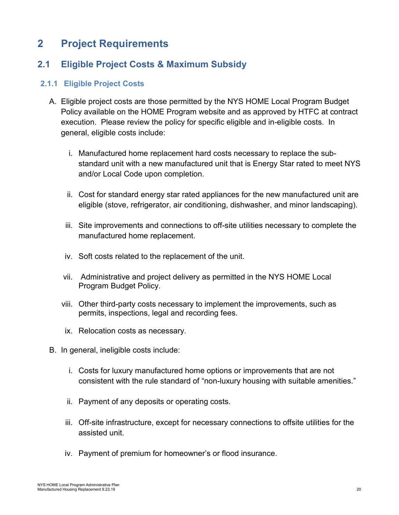# <span id="page-19-0"></span>**2 Project Requirements**

# <span id="page-19-1"></span>**2.1 Eligible Project Costs & Maximum Subsidy**

#### <span id="page-19-2"></span>**2.1.1 Eligible Project Costs**

- A. Eligible project costs are those permitted by the NYS HOME Local Program Budget Policy available on the HOME Program website and as approved by HTFC at contract execution. Please review the policy for specific eligible and in-eligible costs. In general, eligible costs include:
	- i. Manufactured home replacement hard costs necessary to replace the substandard unit with a new manufactured unit that is Energy Star rated to meet NYS and/or Local Code upon completion.
	- ii. Cost for standard energy star rated appliances for the new manufactured unit are eligible (stove, refrigerator, air conditioning, dishwasher, and minor landscaping).
	- iii. Site improvements and connections to off-site utilities necessary to complete the manufactured home replacement.
	- iv. Soft costs related to the replacement of the unit.
	- vii. Administrative and project delivery as permitted in the NYS HOME Local Program Budget Policy.
	- viii. Other third-party costs necessary to implement the improvements, such as permits, inspections, legal and recording fees.
	- ix. Relocation costs as necessary.
- B. In general, ineligible costs include:
	- i. Costs for luxury manufactured home options or improvements that are not consistent with the rule standard of "non-luxury housing with suitable amenities."
	- ii. Payment of any deposits or operating costs.
	- iii. Off-site infrastructure, except for necessary connections to offsite utilities for the assisted unit.
	- iv. Payment of premium for homeowner's or flood insurance.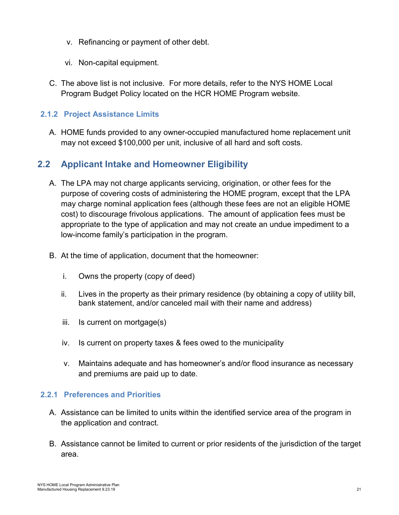- v. Refinancing or payment of other debt.
- vi. Non-capital equipment.
- C. The above list is not inclusive. For more details, refer to the NYS HOME Local Program Budget Policy located on the HCR HOME Program website.

#### <span id="page-20-0"></span>**2.1.2 Project Assistance Limits**

A. HOME funds provided to any owner-occupied manufactured home replacement unit may not exceed \$100,000 per unit, inclusive of all hard and soft costs.

# <span id="page-20-1"></span>**2.2 Applicant Intake and Homeowner Eligibility**

- A. The LPA may not charge applicants servicing, origination, or other fees for the purpose of covering costs of administering the HOME program, except that the LPA may charge nominal application fees (although these fees are not an eligible HOME cost) to discourage frivolous applications. The amount of application fees must be appropriate to the type of application and may not create an undue impediment to a low-income family's participation in the program.
- B. At the time of application, document that the homeowner:
	- i. Owns the property (copy of deed)
	- ii. Lives in the property as their primary residence (by obtaining a copy of utility bill, bank statement, and/or canceled mail with their name and address)
	- iii. Is current on mortgage(s)
	- iv. Is current on property taxes & fees owed to the municipality
	- v. Maintains adequate and has homeowner's and/or flood insurance as necessary and premiums are paid up to date.

#### <span id="page-20-2"></span>**2.2.1 Preferences and Priorities**

- A. Assistance can be limited to units within the identified service area of the program in the application and contract.
- B. Assistance cannot be limited to current or prior residents of the jurisdiction of the target area.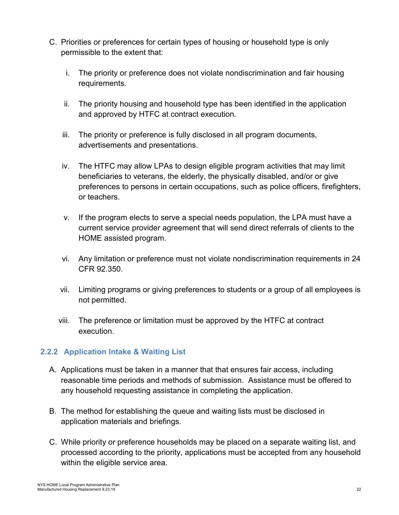- C. Priorities or preferences for certain types of housing or household type is only permissible to the extent that:
	- i. The priority or preference does not violate nondiscrimination and fair housing requirements.
	- ii. The priority housing and household type has been identified in the application and approved by HTFC at contract execution.
	- iii. The priority or preference is fully disclosed in all program documents, advertisements and presentations.
	- iv. The HTFC may allow LPAs to design eligible program activities that may limit beneficiaries to veterans, the elderly, the physically disabled, and/or or give preferences to persons in certain occupations, such as police officers, firefighters, or teachers.
	- v. If the program elects to serve a special needs population, the LPA must have a current service provider agreement that will send direct referrals of clients to the HOME assisted program.
	- vi. Any limitation or preference must not violate nondiscrimination requirements in 24 CFR 92.350.
	- vii. Limiting programs or giving preferences to students or a group of all employees is not permitted.
	- viii. The preference or limitation must be approved by the HTFC at contract execution.

### <span id="page-21-0"></span>**2.2.2 Application Intake & Waiting List**

- A. Applications must be taken in a manner that that ensures fair access, including reasonable time periods and methods of submission. Assistance must be offered to any household requesting assistance in completing the application.
- B. The method for establishing the queue and waiting lists must be disclosed in application materials and briefings.
- C. While priority or preference households may be placed on a separate waiting list, and processed according to the priority, applications must be accepted from any household within the eligible service area.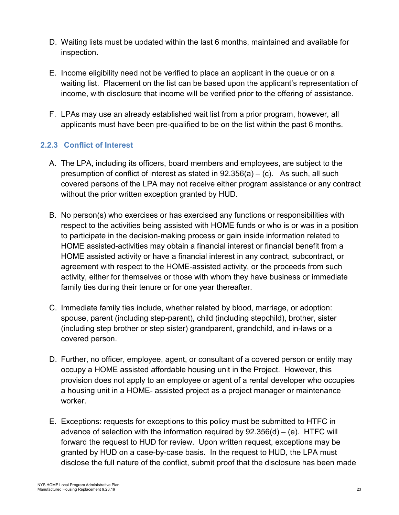- D. Waiting lists must be updated within the last 6 months, maintained and available for inspection.
- E. Income eligibility need not be verified to place an applicant in the queue or on a waiting list. Placement on the list can be based upon the applicant's representation of income, with disclosure that income will be verified prior to the offering of assistance.
- F. LPAs may use an already established wait list from a prior program, however, all applicants must have been pre-qualified to be on the list within the past 6 months.

### <span id="page-22-0"></span>**2.2.3 Conflict of Interest**

- A. The LPA, including its officers, board members and employees, are subject to the presumption of conflict of interest as stated in  $92.356(a) - (c)$ . As such, all such covered persons of the LPA may not receive either program assistance or any contract without the prior written exception granted by HUD.
- B. No person(s) who exercises or has exercised any functions or responsibilities with respect to the activities being assisted with HOME funds or who is or was in a position to participate in the decision-making process or gain inside information related to HOME assisted-activities may obtain a financial interest or financial benefit from a HOME assisted activity or have a financial interest in any contract, subcontract, or agreement with respect to the HOME-assisted activity, or the proceeds from such activity, either for themselves or those with whom they have business or immediate family ties during their tenure or for one year thereafter.
- C. Immediate family ties include, whether related by blood, marriage, or adoption: spouse, parent (including step-parent), child (including stepchild), brother, sister (including step brother or step sister) grandparent, grandchild, and in-laws or a covered person.
- D. Further, no officer, employee, agent, or consultant of a covered person or entity may occupy a HOME assisted affordable housing unit in the Project. However, this provision does not apply to an employee or agent of a rental developer who occupies a housing unit in a HOME- assisted project as a project manager or maintenance worker.
- E. Exceptions: requests for exceptions to this policy must be submitted to HTFC in advance of selection with the information required by  $92.356(d) - (e)$ . HTFC will forward the request to HUD for review. Upon written request, exceptions may be granted by HUD on a case-by-case basis. In the request to HUD, the LPA must disclose the full nature of the conflict, submit proof that the disclosure has been made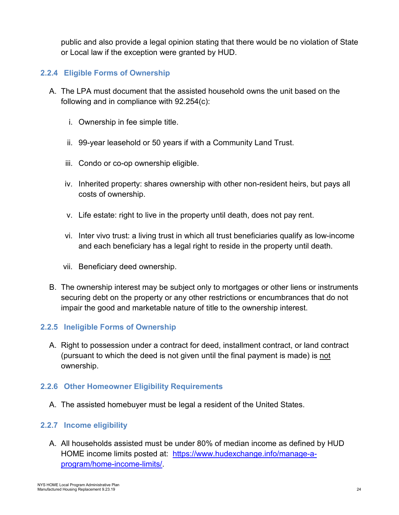public and also provide a legal opinion stating that there would be no violation of State or Local law if the exception were granted by HUD.

#### <span id="page-23-0"></span>**2.2.4 Eligible Forms of Ownership**

- A. The LPA must document that the assisted household owns the unit based on the following and in compliance with 92.254(c):
	- i. Ownership in fee simple title.
	- ii. 99-year leasehold or 50 years if with a Community Land Trust.
	- iii. Condo or co-op ownership eligible.
	- iv. Inherited property: shares ownership with other non-resident heirs, but pays all costs of ownership.
	- v. Life estate: right to live in the property until death, does not pay rent.
	- vi. Inter vivo trust: a living trust in which all trust beneficiaries qualify as low-income and each beneficiary has a legal right to reside in the property until death.
	- vii. Beneficiary deed ownership.
- B. The ownership interest may be subject only to mortgages or other liens or instruments securing debt on the property or any other restrictions or encumbrances that do not impair the good and marketable nature of title to the ownership interest.

#### <span id="page-23-1"></span>**2.2.5 Ineligible Forms of Ownership**

A. Right to possession under a contract for deed, installment contract, or land contract (pursuant to which the deed is not given until the final payment is made) is not ownership.

#### <span id="page-23-2"></span>**2.2.6 Other Homeowner Eligibility Requirements**

A. The assisted homebuyer must be legal a resident of the United States.

#### <span id="page-23-3"></span>**2.2.7 Income eligibility**

A. All households assisted must be under 80% of median income as defined by HUD HOME income limits posted at: [https://www.hudexchange.info/manage-a](https://www.hudexchange.info/manage-a-program/home-income-limits/)[program/home-income-limits/.](https://www.hudexchange.info/manage-a-program/home-income-limits/)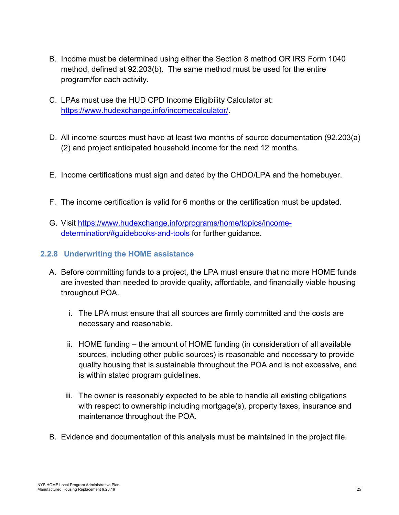- B. Income must be determined using either the Section 8 method OR IRS Form 1040 method, defined at 92.203(b). The same method must be used for the entire program/for each activity.
- C. LPAs must use the HUD CPD Income Eligibility Calculator at: [https://www.hudexchange.info/incomecalculator/.](https://www.hudexchange.info/incomecalculator/)
- D. All income sources must have at least two months of source documentation (92.203(a) (2) and project anticipated household income for the next 12 months.
- E. Income certifications must sign and dated by the CHDO/LPA and the homebuyer.
- F. The income certification is valid for 6 months or the certification must be updated.
- G. Visit [https://www.hudexchange.info/programs/home/topics/income](https://www.hudexchange.info/programs/home/topics/income-determination/#guidebooks-and-tools)[determination/#guidebooks-and-tools](https://www.hudexchange.info/programs/home/topics/income-determination/#guidebooks-and-tools) for further guidance.
- <span id="page-24-0"></span>**2.2.8 Underwriting the HOME assistance**
	- A. Before committing funds to a project, the LPA must ensure that no more HOME funds are invested than needed to provide quality, affordable, and financially viable housing throughout POA.
		- i. The LPA must ensure that all sources are firmly committed and the costs are necessary and reasonable.
		- ii. HOME funding the amount of HOME funding (in consideration of all available sources, including other public sources) is reasonable and necessary to provide quality housing that is sustainable throughout the POA and is not excessive, and is within stated program guidelines.
		- iii. The owner is reasonably expected to be able to handle all existing obligations with respect to ownership including mortgage(s), property taxes, insurance and maintenance throughout the POA.
	- B. Evidence and documentation of this analysis must be maintained in the project file.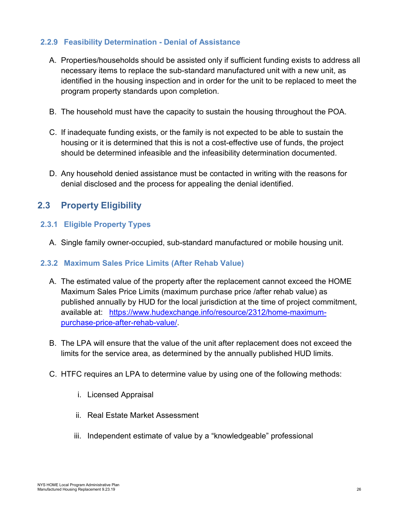#### <span id="page-25-0"></span>**2.2.9 Feasibility Determination - Denial of Assistance**

- A. Properties/households should be assisted only if sufficient funding exists to address all necessary items to replace the sub-standard manufactured unit with a new unit, as identified in the housing inspection and in order for the unit to be replaced to meet the program property standards upon completion.
- B. The household must have the capacity to sustain the housing throughout the POA.
- C. If inadequate funding exists, or the family is not expected to be able to sustain the housing or it is determined that this is not a cost-effective use of funds, the project should be determined infeasible and the infeasibility determination documented.
- D. Any household denied assistance must be contacted in writing with the reasons for denial disclosed and the process for appealing the denial identified.

# <span id="page-25-1"></span>**2.3 Property Eligibility**

#### <span id="page-25-2"></span>**2.3.1 Eligible Property Types**

A. Single family owner-occupied, sub-standard manufactured or mobile housing unit.

#### <span id="page-25-3"></span>**2.3.2 Maximum Sales Price Limits (After Rehab Value)**

- <span id="page-25-4"></span>A. The estimated value of the property after the replacement cannot exceed the HOME Maximum Sales Price Limits (maximum purchase price /after rehab value) as published annually by HUD for the local jurisdiction at the time of project commitment, available at: [https://www.hudexchange.info/resource/2312/home-maximum](https://www.hudexchange.info/resource/2312/home-maximum-purchase-price-after-rehab-value/)[purchase-price-after-rehab-value/.](https://www.hudexchange.info/resource/2312/home-maximum-purchase-price-after-rehab-value/)
- B. The LPA will ensure that the value of the unit after replacement does not exceed the limits for the service area, as determined by the annually published HUD limits.
- C. HTFC requires an LPA to determine value by using one of the following methods:
	- i. Licensed Appraisal
	- ii. Real Estate Market Assessment
	- iii. Independent estimate of value by a "knowledgeable" professional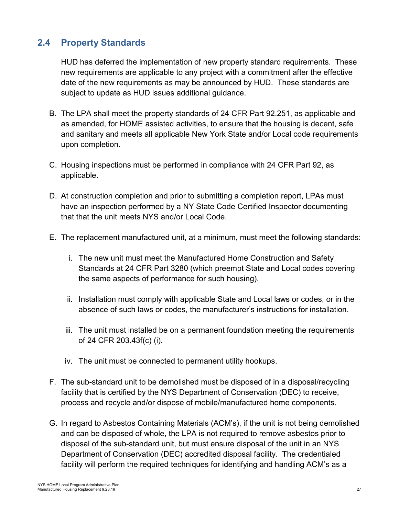# <span id="page-26-0"></span>**2.4 Property Standards**

HUD has deferred the implementation of new property standard requirements. These new requirements are applicable to any project with a commitment after the effective date of the new requirements as may be announced by HUD. These standards are subject to update as HUD issues additional guidance.

- B. The LPA shall meet the property standards of 24 CFR Part 92.251, as applicable and as amended, for HOME assisted activities, to ensure that the housing is decent, safe and sanitary and meets all applicable New York State and/or Local code requirements upon completion.
- C. Housing inspections must be performed in compliance with 24 CFR Part 92, as applicable.
- D. At construction completion and prior to submitting a completion report, LPAs must have an inspection performed by a NY State Code Certified Inspector documenting that that the unit meets NYS and/or Local Code.
- E. The replacement manufactured unit, at a minimum, must meet the following standards:
	- i. The new unit must meet the Manufactured Home Construction and Safety Standards at 24 CFR Part 3280 (which preempt State and Local codes covering the same aspects of performance for such housing).
	- ii. Installation must comply with applicable State and Local laws or codes, or in the absence of such laws or codes, the manufacturer's instructions for installation.
	- iii. The unit must installed be on a permanent foundation meeting the requirements of 24 CFR 203.43f(c) (i).
	- iv. The unit must be connected to permanent utility hookups.
- F. The sub-standard unit to be demolished must be disposed of in a disposal/recycling facility that is certified by the NYS Department of Conservation (DEC) to receive, process and recycle and/or dispose of mobile/manufactured home components.
- G. In regard to Asbestos Containing Materials (ACM's), if the unit is not being demolished and can be disposed of whole, the LPA is not required to remove asbestos prior to disposal of the sub-standard unit, but must ensure disposal of the unit in an NYS Department of Conservation (DEC) accredited disposal facility. The credentialed facility will perform the required techniques for identifying and handling ACM's as a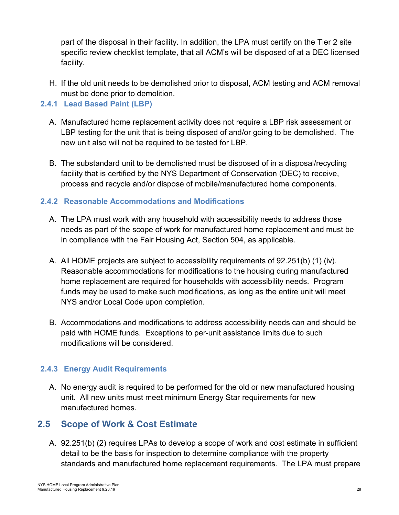part of the disposal in their facility. In addition, the LPA must certify on the Tier 2 site specific review checklist template, that all ACM's will be disposed of at a DEC licensed facility.

H. If the old unit needs to be demolished prior to disposal, ACM testing and ACM removal must be done prior to demolition.

#### <span id="page-27-0"></span>**2.4.1 Lead Based Paint (LBP)**

- A. Manufactured home replacement activity does not require a LBP risk assessment or LBP testing for the unit that is being disposed of and/or going to be demolished. The new unit also will not be required to be tested for LBP.
- B. The substandard unit to be demolished must be disposed of in a disposal/recycling facility that is certified by the NYS Department of Conservation (DEC) to receive, process and recycle and/or dispose of mobile/manufactured home components.

#### <span id="page-27-1"></span>**2.4.2 Reasonable Accommodations and Modifications**

- A. The LPA must work with any household with accessibility needs to address those needs as part of the scope of work for manufactured home replacement and must be in compliance with the Fair Housing Act, Section 504, as applicable.
- A. All HOME projects are subject to accessibility requirements of 92.251(b) (1) (iv). Reasonable accommodations for modifications to the housing during manufactured home replacement are required for households with accessibility needs. Program funds may be used to make such modifications, as long as the entire unit will meet NYS and/or Local Code upon completion.
- B. Accommodations and modifications to address accessibility needs can and should be paid with HOME funds. Exceptions to per-unit assistance limits due to such modifications will be considered.

### <span id="page-27-2"></span>**2.4.3 Energy Audit Requirements**

A. No energy audit is required to be performed for the old or new manufactured housing unit. All new units must meet minimum Energy Star requirements for new manufactured homes.

# <span id="page-27-3"></span>**2.5 Scope of Work & Cost Estimate**

A. 92.251(b) (2) requires LPAs to develop a scope of work and cost estimate in sufficient detail to be the basis for inspection to determine compliance with the property standards and manufactured home replacement requirements. The LPA must prepare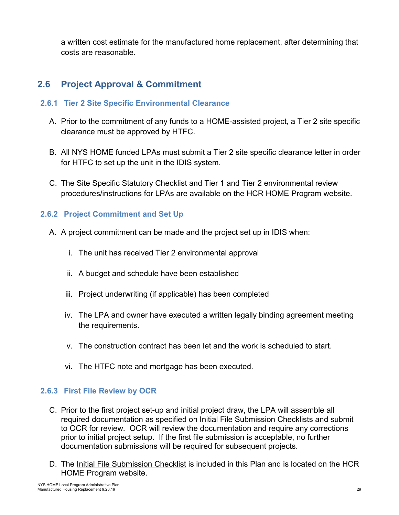a written cost estimate for the manufactured home replacement, after determining that costs are reasonable.

# <span id="page-28-0"></span>**2.6 Project Approval & Commitment**

#### <span id="page-28-1"></span>**2.6.1 Tier 2 Site Specific Environmental Clearance**

- A. Prior to the commitment of any funds to a HOME-assisted project, a Tier 2 site specific clearance must be approved by HTFC.
- B. All NYS HOME funded LPAs must submit a Tier 2 site specific clearance letter in order for HTFC to set up the unit in the IDIS system.
- C. The Site Specific Statutory Checklist and Tier 1 and Tier 2 environmental review procedures/instructions for LPAs are available on the HCR HOME Program website.

### <span id="page-28-2"></span>**2.6.2 Project Commitment and Set Up**

- A. A project commitment can be made and the project set up in IDIS when:
	- i. The unit has received Tier 2 environmental approval
	- ii. A budget and schedule have been established
	- iii. Project underwriting (if applicable) has been completed
	- iv. The LPA and owner have executed a written legally binding agreement meeting the requirements.
	- v. The construction contract has been let and the work is scheduled to start.
	- vi. The HTFC note and mortgage has been executed.

### <span id="page-28-3"></span>**2.6.3 First File Review by OCR**

- C. Prior to the first project set-up and initial project draw, the LPA will assemble all required documentation as specified on Initial File Submission Checklists and submit to OCR for review. OCR will review the documentation and require any corrections prior to initial project setup. If the first file submission is acceptable, no further documentation submissions will be required for subsequent projects.
- D. The Initial File Submission Checklist is included in this Plan and is located on the HCR HOME Program website.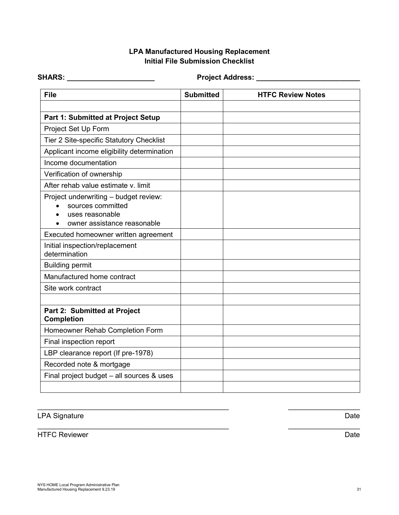#### **LPA Manufactured Housing Replacement Initial File Submission Checklist**

| <b>SHARS:</b>                                                                                                | <b>Project Address:</b> |                          |
|--------------------------------------------------------------------------------------------------------------|-------------------------|--------------------------|
| <b>File</b>                                                                                                  | <b>Submitted</b>        | <b>HTFC Review Notes</b> |
| Part 1: Submitted at Project Setup                                                                           |                         |                          |
| Project Set Up Form                                                                                          |                         |                          |
| Tier 2 Site-specific Statutory Checklist                                                                     |                         |                          |
| Applicant income eligibility determination                                                                   |                         |                          |
| Income documentation                                                                                         |                         |                          |
| Verification of ownership                                                                                    |                         |                          |
| After rehab value estimate v. limit                                                                          |                         |                          |
| Project underwriting - budget review:<br>sources committed<br>uses reasonable<br>owner assistance reasonable |                         |                          |
| Executed homeowner written agreement                                                                         |                         |                          |
| Initial inspection/replacement<br>determination                                                              |                         |                          |
| <b>Building permit</b>                                                                                       |                         |                          |
| Manufactured home contract                                                                                   |                         |                          |
| Site work contract                                                                                           |                         |                          |
|                                                                                                              |                         |                          |
| Part 2: Submitted at Project<br><b>Completion</b>                                                            |                         |                          |
| Homeowner Rehab Completion Form                                                                              |                         |                          |
| Final inspection report                                                                                      |                         |                          |
| LBP clearance report (If pre-1978)                                                                           |                         |                          |
| Recorded note & mortgage                                                                                     |                         |                          |
| Final project budget - all sources & uses                                                                    |                         |                          |
|                                                                                                              |                         |                          |

 $\_$  , and the contribution of the contribution of  $\mathcal{L}_\mathcal{A}$  , and the contribution of  $\_$  , and  $\_$ 

 $\_$  , and the contribution of the contribution of  $\mathcal{L}_\mathcal{A}$  , and the contribution of  $\_$  , and  $\_$ 

HTFC Reviewer Date

LPA Signature Date Date Contract and the United States of the United States of the Date Date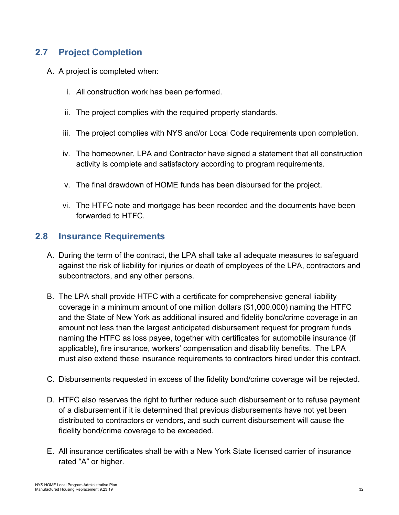# <span id="page-31-0"></span>**2.7 Project Completion**

- A. A project is completed when:
	- i. *A*ll construction work has been performed.
	- ii. The project complies with the required property standards.
	- iii. The project complies with NYS and/or Local Code requirements upon completion.
	- iv. The homeowner, LPA and Contractor have signed a statement that all construction activity is complete and satisfactory according to program requirements.
	- v. The final drawdown of HOME funds has been disbursed for the project.
	- vi. The HTFC note and mortgage has been recorded and the documents have been forwarded to HTFC.

### <span id="page-31-1"></span>**2.8 Insurance Requirements**

- A. During the term of the contract, the LPA shall take all adequate measures to safeguard against the risk of liability for injuries or death of employees of the LPA, contractors and subcontractors, and any other persons.
- B. The LPA shall provide HTFC with a certificate for comprehensive general liability coverage in a minimum amount of one million dollars (\$1,000,000) naming the HTFC and the State of New York as additional insured and fidelity bond/crime coverage in an amount not less than the largest anticipated disbursement request for program funds naming the HTFC as loss payee, together with certificates for automobile insurance (if applicable), fire insurance, workers' compensation and disability benefits. The LPA must also extend these insurance requirements to contractors hired under this contract.
- C. Disbursements requested in excess of the fidelity bond/crime coverage will be rejected.
- D. HTFC also reserves the right to further reduce such disbursement or to refuse payment of a disbursement if it is determined that previous disbursements have not yet been distributed to contractors or vendors, and such current disbursement will cause the fidelity bond/crime coverage to be exceeded.
- E. All insurance certificates shall be with a New York State licensed carrier of insurance rated "A" or higher.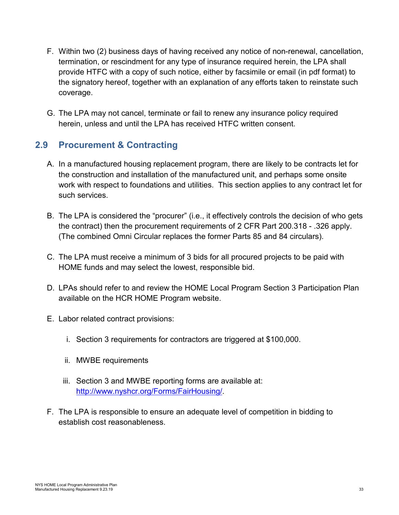- F. Within two (2) business days of having received any notice of non-renewal, cancellation, termination, or rescindment for any type of insurance required herein, the LPA shall provide HTFC with a copy of such notice, either by facsimile or email (in pdf format) to the signatory hereof, together with an explanation of any efforts taken to reinstate such coverage.
- G. The LPA may not cancel, terminate or fail to renew any insurance policy required herein, unless and until the LPA has received HTFC written consent.

# <span id="page-32-0"></span>**2.9 Procurement & Contracting**

- A. In a manufactured housing replacement program, there are likely to be contracts let for the construction and installation of the manufactured unit, and perhaps some onsite work with respect to foundations and utilities. This section applies to any contract let for such services.
- B. The LPA is considered the "procurer" (i.e., it effectively controls the decision of who gets the contract) then the procurement requirements of 2 CFR Part 200.318 - .326 apply. (The combined Omni Circular replaces the former Parts 85 and 84 circulars).
- C. The LPA must receive a minimum of 3 bids for all procured projects to be paid with HOME funds and may select the lowest, responsible bid.
- D. LPAs should refer to and review the HOME Local Program Section 3 Participation Plan available on the HCR HOME Program website.
- E. Labor related contract provisions:
	- i. Section 3 requirements for contractors are triggered at \$100,000.
	- ii. MWBE requirements
	- iii. Section 3 and MWBE reporting forms are available at: [http://www.nyshcr.org/Forms/FairHousing/.](http://www.nyshcr.org/Forms/FairHousing/)
- F. The LPA is responsible to ensure an adequate level of competition in bidding to establish cost reasonableness.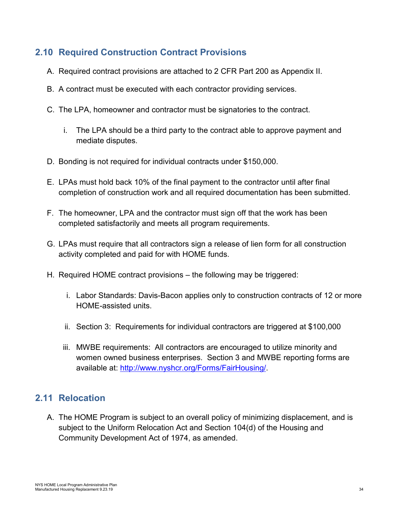# <span id="page-33-0"></span>**2.10 Required Construction Contract Provisions**

- A. Required contract provisions are attached to 2 CFR Part 200 as Appendix II.
- B. A contract must be executed with each contractor providing services.
- C. The LPA, homeowner and contractor must be signatories to the contract.
	- i. The LPA should be a third party to the contract able to approve payment and mediate disputes.
- D. Bonding is not required for individual contracts under \$150,000.
- E. LPAs must hold back 10% of the final payment to the contractor until after final completion of construction work and all required documentation has been submitted.
- F. The homeowner, LPA and the contractor must sign off that the work has been completed satisfactorily and meets all program requirements.
- G. LPAs must require that all contractors sign a release of lien form for all construction activity completed and paid for with HOME funds.
- H. Required HOME contract provisions the following may be triggered:
	- i. Labor Standards: Davis-Bacon applies only to construction contracts of 12 or more HOME-assisted units.
	- ii. Section 3: Requirements for individual contractors are triggered at \$100,000
	- iii. MWBE requirements: All contractors are encouraged to utilize minority and women owned business enterprises. Section 3 and MWBE reporting forms are available at: [http://www.nyshcr.org/Forms/FairHousing/.](http://www.nyshcr.org/Forms/FairHousing/)

# <span id="page-33-1"></span>**2.11 Relocation**

A. The HOME Program is subject to an overall policy of minimizing displacement, and is subject to the Uniform Relocation Act and Section 104(d) of the Housing and Community Development Act of 1974, as amended.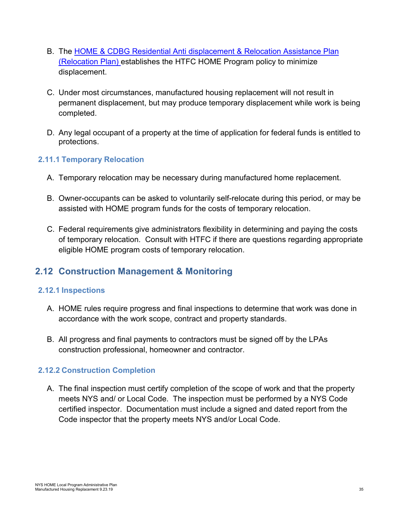- B. The [HOME & CDBG Residential Anti displacement & Relocation Assistance Plan](http://www.nyshcr.org/Programs/NYSHome/HOME-CDBG-Antidisplacement-Relocation-plan.pdf) (Relocation Plan) establishes the HTFC HOME Program policy to minimize displacement.
- C. Under most circumstances, manufactured housing replacement will not result in permanent displacement, but may produce temporary displacement while work is being completed.
- D. Any legal occupant of a property at the time of application for federal funds is entitled to protections.

#### <span id="page-34-0"></span>**2.11.1 Temporary Relocation**

- A. Temporary relocation may be necessary during manufactured home replacement.
- B. Owner-occupants can be asked to voluntarily self-relocate during this period, or may be assisted with HOME program funds for the costs of temporary relocation.
- C. Federal requirements give administrators flexibility in determining and paying the costs of temporary relocation. Consult with HTFC if there are questions regarding appropriate eligible HOME program costs of temporary relocation.

# <span id="page-34-1"></span>**2.12 Construction Management & Monitoring**

#### <span id="page-34-2"></span>**2.12.1 Inspections**

- A. HOME rules require progress and final inspections to determine that work was done in accordance with the work scope, contract and property standards.
- B. All progress and final payments to contractors must be signed off by the LPAs construction professional, homeowner and contractor.

#### <span id="page-34-3"></span>**2.12.2 Construction Completion**

A. The final inspection must certify completion of the scope of work and that the property meets NYS and/ or Local Code. The inspection must be performed by a NYS Code certified inspector. Documentation must include a signed and dated report from the Code inspector that the property meets NYS and/or Local Code.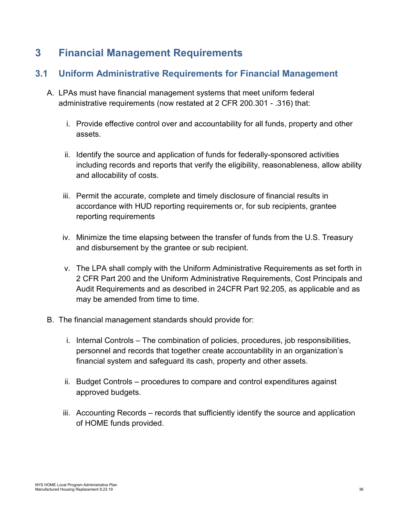# <span id="page-35-0"></span>**3 Financial Management Requirements**

# <span id="page-35-1"></span>**3.1 Uniform Administrative Requirements for Financial Management**

- A. LPAs must have financial management systems that meet uniform federal administrative requirements (now restated at 2 CFR 200.301 - .316) that:
	- i. Provide effective control over and accountability for all funds, property and other assets.
	- ii. Identify the source and application of funds for federally-sponsored activities including records and reports that verify the eligibility, reasonableness, allow ability and allocability of costs.
	- iii. Permit the accurate, complete and timely disclosure of financial results in accordance with HUD reporting requirements or, for sub recipients, grantee reporting requirements
	- iv. Minimize the time elapsing between the transfer of funds from the U.S. Treasury and disbursement by the grantee or sub recipient.
	- v. The LPA shall comply with the Uniform Administrative Requirements as set forth in 2 CFR Part 200 and the Uniform Administrative Requirements, Cost Principals and Audit Requirements and as described in 24CFR Part 92.205, as applicable and as may be amended from time to time.
- B. The financial management standards should provide for:
	- i. Internal Controls The combination of policies, procedures, job responsibilities, personnel and records that together create accountability in an organization's financial system and safeguard its cash, property and other assets.
	- ii. Budget Controls procedures to compare and control expenditures against approved budgets.
	- iii. Accounting Records records that sufficiently identify the source and application of HOME funds provided.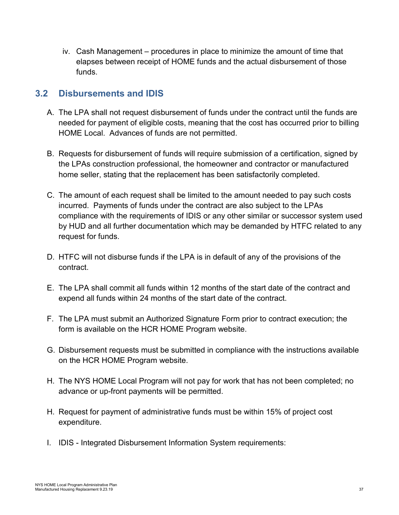iv. Cash Management – procedures in place to minimize the amount of time that elapses between receipt of HOME funds and the actual disbursement of those funds.

# <span id="page-36-0"></span>**3.2 Disbursements and IDIS**

- A. The LPA shall not request disbursement of funds under the contract until the funds are needed for payment of eligible costs, meaning that the cost has occurred prior to billing HOME Local. Advances of funds are not permitted.
- B. Requests for disbursement of funds will require submission of a certification, signed by the LPAs construction professional, the homeowner and contractor or manufactured home seller, stating that the replacement has been satisfactorily completed.
- C. The amount of each request shall be limited to the amount needed to pay such costs incurred. Payments of funds under the contract are also subject to the LPAs compliance with the requirements of IDIS or any other similar or successor system used by HUD and all further documentation which may be demanded by HTFC related to any request for funds.
- D. HTFC will not disburse funds if the LPA is in default of any of the provisions of the contract.
- E. The LPA shall commit all funds within 12 months of the start date of the contract and expend all funds within 24 months of the start date of the contract.
- F. The LPA must submit an Authorized Signature Form prior to contract execution; the form is available on the HCR HOME Program website.
- G. Disbursement requests must be submitted in compliance with the instructions available on the HCR HOME Program website.
- H. The NYS HOME Local Program will not pay for work that has not been completed; no advance or up-front payments will be permitted.
- H. Request for payment of administrative funds must be within 15% of project cost expenditure.
- I. IDIS Integrated Disbursement Information System requirements: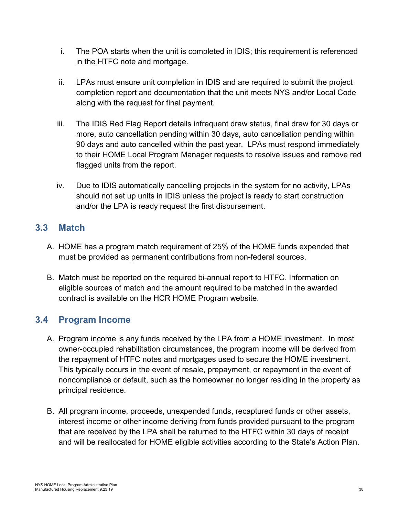- i. The POA starts when the unit is completed in IDIS; this requirement is referenced in the HTFC note and mortgage.
- ii. LPAs must ensure unit completion in IDIS and are required to submit the project completion report and documentation that the unit meets NYS and/or Local Code along with the request for final payment.
- iii. The IDIS Red Flag Report details infrequent draw status, final draw for 30 days or more, auto cancellation pending within 30 days, auto cancellation pending within 90 days and auto cancelled within the past year. LPAs must respond immediately to their HOME Local Program Manager requests to resolve issues and remove red flagged units from the report.
- iv. Due to IDIS automatically cancelling projects in the system for no activity, LPAs should not set up units in IDIS unless the project is ready to start construction and/or the LPA is ready request the first disbursement.

# <span id="page-37-0"></span>**3.3 Match**

- A. HOME has a program match requirement of 25% of the HOME funds expended that must be provided as permanent contributions from non-federal sources.
- B. Match must be reported on the required bi-annual report to HTFC. Information on eligible sources of match and the amount required to be matched in the awarded contract is available on the HCR HOME Program website.

# <span id="page-37-1"></span>**3.4 Program Income**

- A. Program income is any funds received by the LPA from a HOME investment. In most owner-occupied rehabilitation circumstances, the program income will be derived from the repayment of HTFC notes and mortgages used to secure the HOME investment. This typically occurs in the event of resale, prepayment, or repayment in the event of noncompliance or default, such as the homeowner no longer residing in the property as principal residence.
- B. All program income, proceeds, unexpended funds, recaptured funds or other assets, interest income or other income deriving from funds provided pursuant to the program that are received by the LPA shall be returned to the HTFC within 30 days of receipt and will be reallocated for HOME eligible activities according to the State's Action Plan.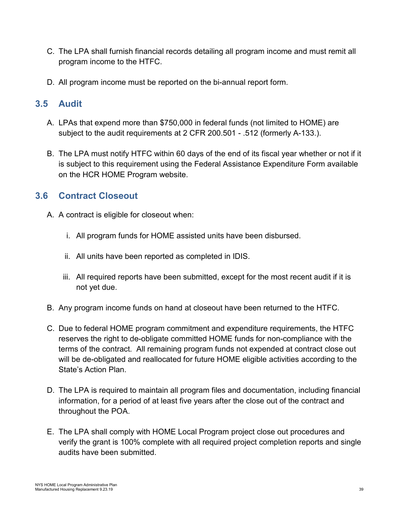- C. The LPA shall furnish financial records detailing all program income and must remit all program income to the HTFC.
- D. All program income must be reported on the bi-annual report form.

# <span id="page-38-0"></span>**3.5 Audit**

- A. LPAs that expend more than \$750,000 in federal funds (not limited to HOME) are subject to the audit requirements at 2 CFR 200.501 - .512 (formerly A-133.).
- B. The LPA must notify HTFC within 60 days of the end of its fiscal year whether or not if it is subject to this requirement using the Federal Assistance Expenditure Form available on the HCR HOME Program website.

# <span id="page-38-1"></span>**3.6 Contract Closeout**

- A. A contract is eligible for closeout when:
	- i. All program funds for HOME assisted units have been disbursed.
	- ii. All units have been reported as completed in IDIS.
	- iii. All required reports have been submitted, except for the most recent audit if it is not yet due.
- B. Any program income funds on hand at closeout have been returned to the HTFC.
- C. Due to federal HOME program commitment and expenditure requirements, the HTFC reserves the right to de-obligate committed HOME funds for non-compliance with the terms of the contract. All remaining program funds not expended at contract close out will be de-obligated and reallocated for future HOME eligible activities according to the State's Action Plan.
- D. The LPA is required to maintain all program files and documentation, including financial information, for a period of at least five years after the close out of the contract and throughout the POA.
- E. The LPA shall comply with HOME Local Program project close out procedures and verify the grant is 100% complete with all required project completion reports and single audits have been submitted.